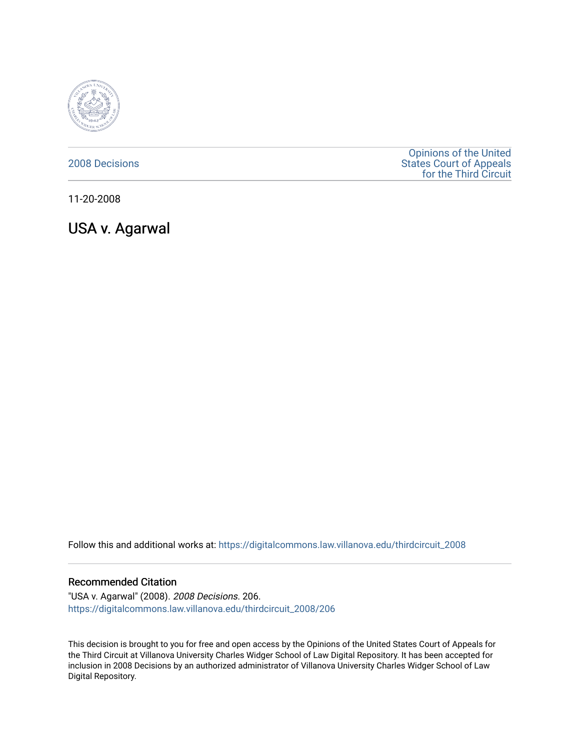

## [2008 Decisions](https://digitalcommons.law.villanova.edu/thirdcircuit_2008)

[Opinions of the United](https://digitalcommons.law.villanova.edu/thirdcircuit)  [States Court of Appeals](https://digitalcommons.law.villanova.edu/thirdcircuit)  [for the Third Circuit](https://digitalcommons.law.villanova.edu/thirdcircuit) 

11-20-2008

USA v. Agarwal

Follow this and additional works at: [https://digitalcommons.law.villanova.edu/thirdcircuit\\_2008](https://digitalcommons.law.villanova.edu/thirdcircuit_2008?utm_source=digitalcommons.law.villanova.edu%2Fthirdcircuit_2008%2F206&utm_medium=PDF&utm_campaign=PDFCoverPages) 

#### Recommended Citation

"USA v. Agarwal" (2008). 2008 Decisions. 206. [https://digitalcommons.law.villanova.edu/thirdcircuit\\_2008/206](https://digitalcommons.law.villanova.edu/thirdcircuit_2008/206?utm_source=digitalcommons.law.villanova.edu%2Fthirdcircuit_2008%2F206&utm_medium=PDF&utm_campaign=PDFCoverPages)

This decision is brought to you for free and open access by the Opinions of the United States Court of Appeals for the Third Circuit at Villanova University Charles Widger School of Law Digital Repository. It has been accepted for inclusion in 2008 Decisions by an authorized administrator of Villanova University Charles Widger School of Law Digital Repository.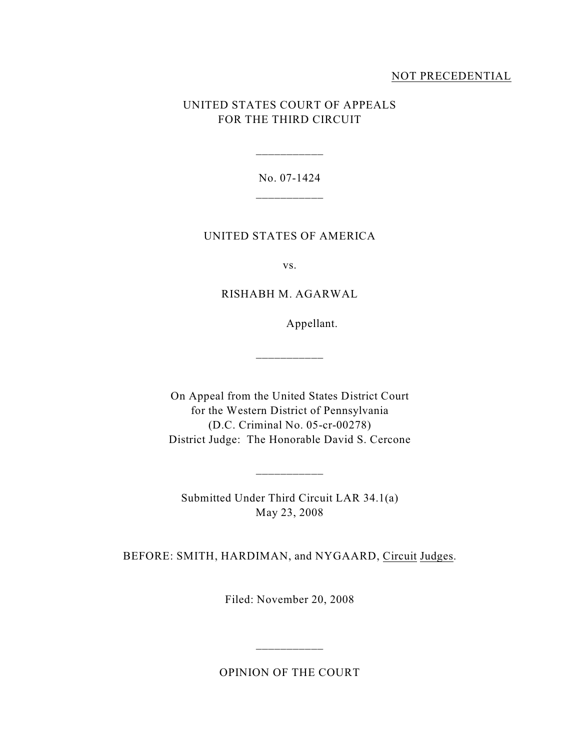# NOT PRECEDENTIAL

# UNITED STATES COURT OF APPEALS FOR THE THIRD CIRCUIT

No. 07-1424 \_\_\_\_\_\_\_\_\_\_\_

\_\_\_\_\_\_\_\_\_\_\_

## UNITED STATES OF AMERICA

vs.

## RISHABH M. AGARWAL

Appellant.

On Appeal from the United States District Court for the Western District of Pennsylvania (D.C. Criminal No. 05-cr-00278) District Judge: The Honorable David S. Cercone

\_\_\_\_\_\_\_\_\_\_\_

Submitted Under Third Circuit LAR 34.1(a) May 23, 2008

 $\frac{1}{2}$  ,  $\frac{1}{2}$  ,  $\frac{1}{2}$  ,  $\frac{1}{2}$  ,  $\frac{1}{2}$  ,  $\frac{1}{2}$  ,  $\frac{1}{2}$  ,  $\frac{1}{2}$  ,  $\frac{1}{2}$  ,  $\frac{1}{2}$  ,  $\frac{1}{2}$  ,  $\frac{1}{2}$  ,  $\frac{1}{2}$  ,  $\frac{1}{2}$  ,  $\frac{1}{2}$  ,  $\frac{1}{2}$  ,  $\frac{1}{2}$  ,  $\frac{1}{2}$  ,  $\frac{1$ 

BEFORE: SMITH, HARDIMAN, and NYGAARD, Circuit Judges.

Filed: November 20, 2008

OPINION OF THE COURT

\_\_\_\_\_\_\_\_\_\_\_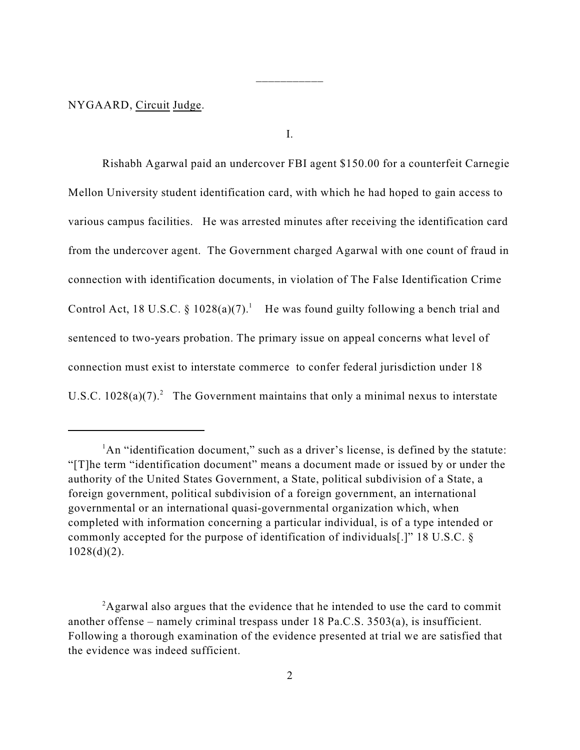NYGAARD, Circuit Judge.

I.

\_\_\_\_\_\_\_\_\_\_\_

Rishabh Agarwal paid an undercover FBI agent \$150.00 for a counterfeit Carnegie Mellon University student identification card, with which he had hoped to gain access to various campus facilities. He was arrested minutes after receiving the identification card from the undercover agent. The Government charged Agarwal with one count of fraud in connection with identification documents, in violation of The False Identification Crime Control Act, 18 U.S.C.  $\S$  1028(a)(7).<sup>1</sup> He was found guilty following a bench trial and sentenced to two-years probation. The primary issue on appeal concerns what level of connection must exist to interstate commerce to confer federal jurisdiction under 18 U.S.C.  $1028(a)(7)^2$  The Government maintains that only a minimal nexus to interstate

<sup>&</sup>lt;sup>1</sup>An "identification document," such as a driver's license, is defined by the statute: "[T]he term "identification document" means a document made or issued by or under the authority of the United States Government, a State, political subdivision of a State, a foreign government, political subdivision of a foreign government, an international governmental or an international quasi-governmental organization which, when completed with information concerning a particular individual, is of a type intended or commonly accepted for the purpose of identification of individuals[.]" 18 U.S.C. §  $1028(d)(2)$ .

 $A$ garwal also argues that the evidence that he intended to use the card to commit another offense – namely criminal trespass under 18 Pa.C.S. 3503(a), is insufficient. Following a thorough examination of the evidence presented at trial we are satisfied that the evidence was indeed sufficient.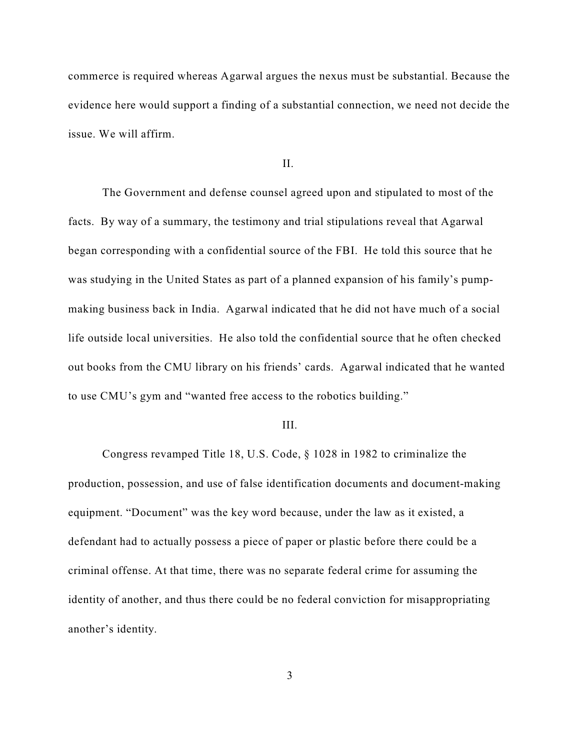commerce is required whereas Agarwal argues the nexus must be substantial. Because the evidence here would support a finding of a substantial connection, we need not decide the issue. We will affirm.

II.

The Government and defense counsel agreed upon and stipulated to most of the facts. By way of a summary, the testimony and trial stipulations reveal that Agarwal began corresponding with a confidential source of the FBI. He told this source that he was studying in the United States as part of a planned expansion of his family's pumpmaking business back in India. Agarwal indicated that he did not have much of a social life outside local universities. He also told the confidential source that he often checked out books from the CMU library on his friends' cards. Agarwal indicated that he wanted to use CMU's gym and "wanted free access to the robotics building."

#### III.

Congress revamped Title 18, U.S. Code, § 1028 in 1982 to criminalize the production, possession, and use of false identification documents and document-making equipment. "Document" was the key word because, under the law as it existed, a defendant had to actually possess a piece of paper or plastic before there could be a criminal offense. At that time, there was no separate federal crime for assuming the identity of another, and thus there could be no federal conviction for misappropriating another's identity.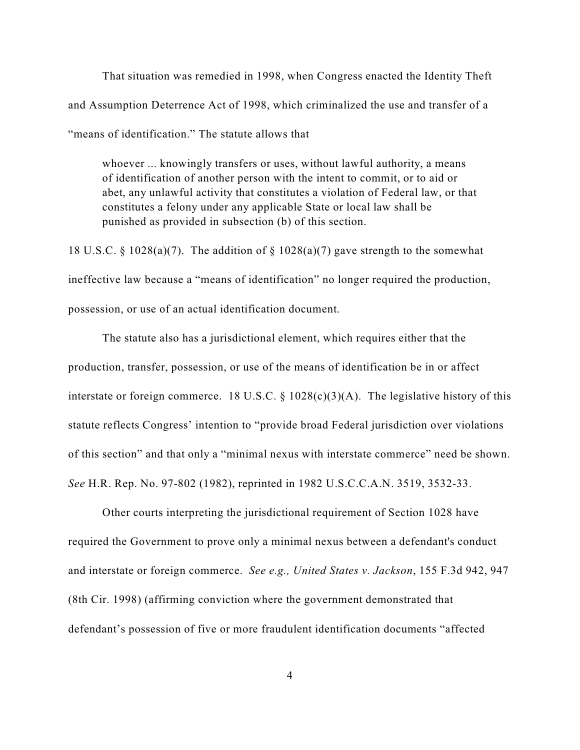That situation was remedied in 1998, when Congress enacted the Identity Theft and Assumption Deterrence Act of 1998, which criminalized the use and transfer of a "means of identification." The statute allows that

whoever ... knowingly transfers or uses, without lawful authority, a means of identification of another person with the intent to commit, or to aid or abet, any unlawful activity that constitutes a violation of Federal law, or that constitutes a felony under any applicable State or local law shall be punished as provided in subsection (b) of this section.

18 U.S.C. § 1028(a)(7). The addition of § 1028(a)(7) gave strength to the somewhat ineffective law because a "means of identification" no longer required the production, possession, or use of an actual identification document.

The statute also has a jurisdictional element, which requires either that the production, transfer, possession, or use of the means of identification be in or affect interstate or foreign commerce. 18 U.S.C.  $\S$  1028(c)(3)(A). The legislative history of this statute reflects Congress' intention to "provide broad Federal jurisdiction over violations of this section" and that only a "minimal nexus with interstate commerce" need be shown. *See* H.R. Rep. No. 97-802 (1982), reprinted in 1982 U.S.C.C.A.N. 3519, 3532-33.

Other courts interpreting the jurisdictional requirement of Section 1028 have required the Government to prove only a minimal nexus between a defendant's conduct and interstate or foreign commerce. *See e.g., United States v. Jackson*, 155 F.3d 942, 947 (8th Cir. 1998) (affirming conviction where the government demonstrated that defendant's possession of five or more fraudulent identification documents "affected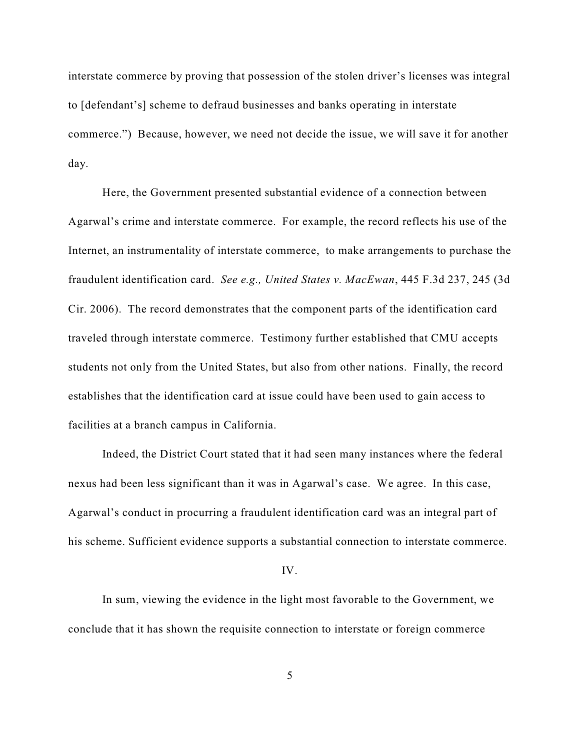interstate commerce by proving that possession of the stolen driver's licenses was integral to [defendant's] scheme to defraud businesses and banks operating in interstate commerce.") Because, however, we need not decide the issue, we will save it for another day.

Here, the Government presented substantial evidence of a connection between Agarwal's crime and interstate commerce. For example, the record reflects his use of the Internet, an instrumentality of interstate commerce, to make arrangements to purchase the fraudulent identification card. *See e.g., United States v. MacEwan*, 445 F.3d 237, 245 (3d Cir. 2006). The record demonstrates that the component parts of the identification card traveled through interstate commerce. Testimony further established that CMU accepts students not only from the United States, but also from other nations. Finally, the record establishes that the identification card at issue could have been used to gain access to facilities at a branch campus in California.

Indeed, the District Court stated that it had seen many instances where the federal nexus had been less significant than it was in Agarwal's case. We agree. In this case, Agarwal's conduct in procurring a fraudulent identification card was an integral part of his scheme. Sufficient evidence supports a substantial connection to interstate commerce.

#### IV.

In sum, viewing the evidence in the light most favorable to the Government, we conclude that it has shown the requisite connection to interstate or foreign commerce